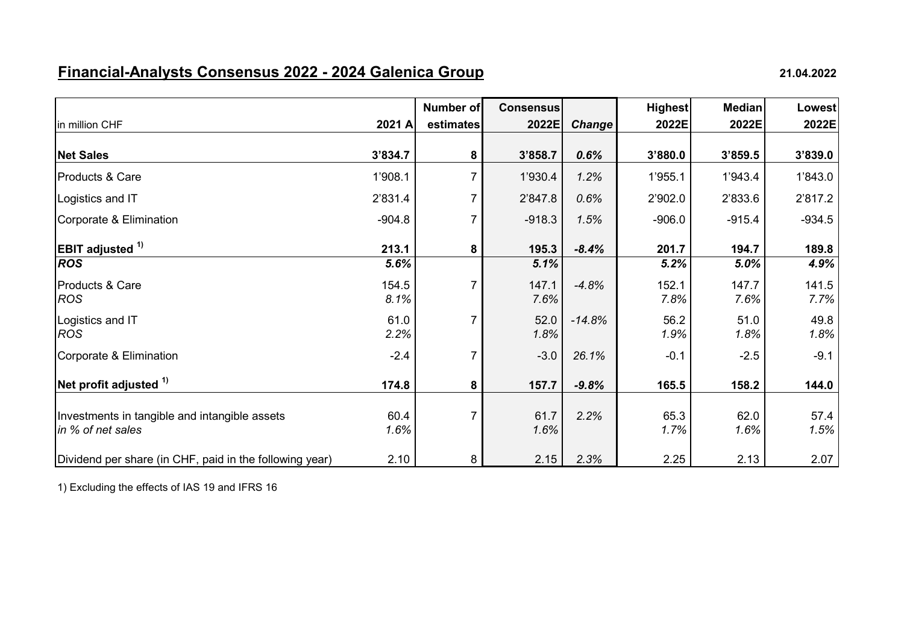## **Financial-Analysts Consensus 2022 - 2024 Galenica Group 21.04.2022**

|                                                                    |               | Number of | <b>Consensus</b> |               | <b>Highest</b> | <b>Median</b> | <b>Lowest</b> |
|--------------------------------------------------------------------|---------------|-----------|------------------|---------------|----------------|---------------|---------------|
| in million CHF                                                     | 2021 A        | estimates | 2022E            | <b>Change</b> | 2022E          | 2022E         | 2022E         |
| <b>Net Sales</b>                                                   | 3'834.7       | 8         | 3'858.7          | 0.6%          | 3'880.0        | 3'859.5       | 3'839.0       |
| Products & Care                                                    | 1'908.1       | 7         | 1'930.4          | 1.2%          | 1'955.1        | 1'943.4       | 1'843.0       |
| Logistics and IT                                                   | 2'831.4       |           | 2'847.8          | 0.6%          | 2'902.0        | 2'833.6       | 2'817.2       |
| Corporate & Elimination                                            | $-904.8$      | 7         | $-918.3$         | 1.5%          | $-906.0$       | $-915.4$      | $-934.5$      |
| <b>EBIT</b> adjusted <sup>1)</sup>                                 | 213.1         | 8         | 195.3            | $-8.4%$       | 201.7          | 194.7         | 189.8         |
| <b>ROS</b>                                                         | 5.6%          |           | 5.1%             |               | 5.2%           | 5.0%          | 4.9%          |
| Products & Care<br><b>ROS</b>                                      | 154.5<br>8.1% | 7         | 147.1<br>7.6%    | $-4.8%$       | 152.1<br>7.8%  | 147.7<br>7.6% | 141.5<br>7.7% |
| Logistics and IT<br><b>ROS</b>                                     | 61.0<br>2.2%  |           | 52.0<br>1.8%     | $-14.8%$      | 56.2<br>1.9%   | 51.0<br>1.8%  | 49.8<br>1.8%  |
| Corporate & Elimination                                            | $-2.4$        |           | $-3.0$           | 26.1%         | $-0.1$         | $-2.5$        | $-9.1$        |
| Net profit adjusted $1$                                            | 174.8         | 8         | 157.7            | $-9.8%$       | 165.5          | 158.2         | 144.0         |
| Investments in tangible and intangible assets<br>in % of net sales | 60.4<br>1.6%  |           | 61.7<br>1.6%     | 2.2%          | 65.3<br>1.7%   | 62.0<br>1.6%  | 57.4<br>1.5%  |
| Dividend per share (in CHF, paid in the following year)            | 2.10          | 8         | 2.15             | 2.3%          | 2.25           | 2.13          | 2.07          |

1) Excluding the effects of IAS 19 and IFRS 16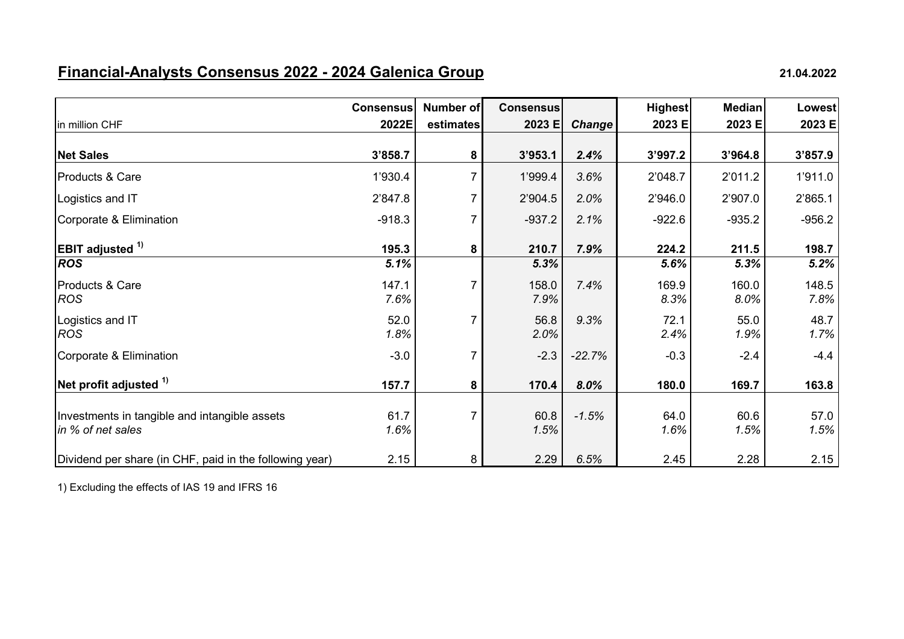## **Financial-Analysts Consensus 2022 - 2024 Galenica Group 21.04.2022**

|                                                                    | <b>Consensus</b> | Number of | <b>Consensus</b> |               | <b>Highest</b> | <b>Median</b> | <b>Lowest</b> |
|--------------------------------------------------------------------|------------------|-----------|------------------|---------------|----------------|---------------|---------------|
| in million CHF                                                     | 2022E            | estimates | 2023 E           | <b>Change</b> | 2023 E         | 2023 E        | 2023 E        |
| <b>Net Sales</b>                                                   | 3'858.7          | 8         | 3'953.1          | 2.4%          | 3'997.2        | 3'964.8       | 3'857.9       |
| Products & Care                                                    | 1'930.4          | 7         | 1'999.4          | 3.6%          | 2'048.7        | 2'011.2       | 1'911.0       |
| Logistics and IT                                                   | 2'847.8          |           | 2'904.5          | 2.0%          | 2'946.0        | 2'907.0       | 2'865.1       |
| Corporate & Elimination                                            | $-918.3$         |           | $-937.2$         | 2.1%          | $-922.6$       | $-935.2$      | $-956.2$      |
| <b>EBIT</b> adjusted <sup>1)</sup>                                 | 195.3            | 8         | 210.7            | 7.9%          | 224.2          | 211.5         | 198.7         |
| <b>ROS</b>                                                         | 5.1%             |           | 5.3%             |               | 5.6%           | 5.3%          | 5.2%          |
| Products & Care<br><b>ROS</b>                                      | 147.1<br>7.6%    | 7         | 158.0<br>7.9%    | 7.4%          | 169.9<br>8.3%  | 160.0<br>8.0% | 148.5<br>7.8% |
| Logistics and IT<br><b>ROS</b>                                     | 52.0<br>1.8%     |           | 56.8<br>2.0%     | 9.3%          | 72.1<br>2.4%   | 55.0<br>1.9%  | 48.7<br>1.7%  |
| Corporate & Elimination                                            | $-3.0$           |           | $-2.3$           | $-22.7%$      | $-0.3$         | $-2.4$        | $-4.4$        |
| Net profit adjusted $1$                                            | 157.7            | 8         | 170.4            | $8.0\%$       | 180.0          | 169.7         | 163.8         |
| Investments in tangible and intangible assets<br>in % of net sales | 61.7<br>1.6%     |           | 60.8<br>1.5%     | $-1.5%$       | 64.0<br>1.6%   | 60.6<br>1.5%  | 57.0<br>1.5%  |
| Dividend per share (in CHF, paid in the following year)            | 2.15             | 8         | 2.29             | 6.5%          | 2.45           | 2.28          | 2.15          |

1) Excluding the effects of IAS 19 and IFRS 16